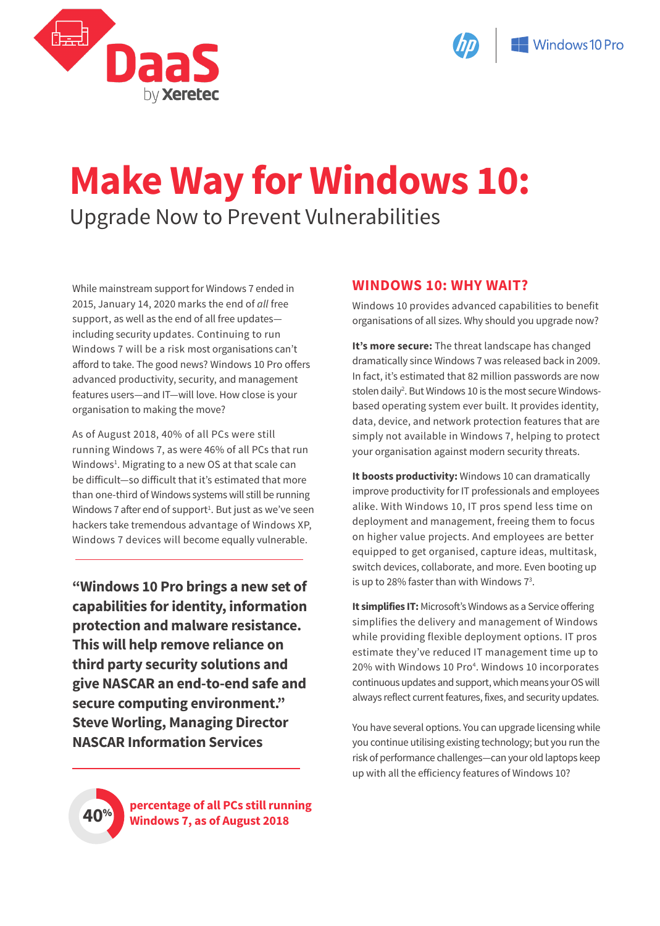



# **Make Way for Windows 10:** Upgrade Now to Prevent Vulnerabilities

While mainstream support for Windows 7 ended in 2015, January 14, 2020 marks the end of *all* free support, as well as the end of all free updates including security updates. Continuing to run Windows 7 will be a risk most organisations can't afford to take. The good news? Windows 10 Pro offers advanced productivity, security, and management features users—and IT—will love. How close is your organisation to making the move?

As of August 2018, 40% of all PCs were still running Windows 7, as were 46% of all PCs that run Windows<sup>1</sup>. Migrating to a new OS at that scale can be difficult—so difficult that it's estimated that more than one-third of Windows systems will still be running Windows 7 after end of support<sup>1</sup>. But just as we've seen hackers take tremendous advantage of Windows XP, Windows 7 devices will become equally vulnerable.

**"Windows 10 Pro brings a new set of capabilities for identity, information protection and malware resistance. This will help remove reliance on third party security solutions and give NASCAR an end-to-end safe and secure computing environment." Steve Worling, Managing Director NASCAR Information Services**

### **WINDOWS 10: WHY WAIT?**

Windows 10 provides advanced capabilities to benefit organisations of all sizes. Why should you upgrade now?

**It's more secure:** The threat landscape has changed dramatically since Windows 7 was released back in 2009. In fact, it's estimated that 82 million passwords are now stolen daily2 . But Windows 10 is the most secure Windowsbased operating system ever built. It provides identity, data, device, and network protection features that are simply not available in Windows 7, helping to protect your organisation against modern security threats.

**It boosts productivity:** Windows 10 can dramatically improve productivity for IT professionals and employees alike. With Windows 10, IT pros spend less time on deployment and management, freeing them to focus on higher value projects. And employees are better equipped to get organised, capture ideas, multitask, switch devices, collaborate, and more. Even booting up is up to 28% faster than with Windows  $7^3$ .

**It simplifies IT:** Microsoft's Windows as a Service offering simplifies the delivery and management of Windows while providing flexible deployment options. IT pros estimate they've reduced IT management time up to 20% with Windows 10 Pro<sup>4</sup>. Windows 10 incorporates continuous updates and support, which means your OS will always reflect current features, fixes, and security updates.

You have several options. You can upgrade licensing while you continue utilising existing technology; but you run the risk of performance challenges—can your old laptops keep up with all the efficiency features of Windows 10?



**40**% **percentage of all PCs still running Windows 7, as of August 2018**